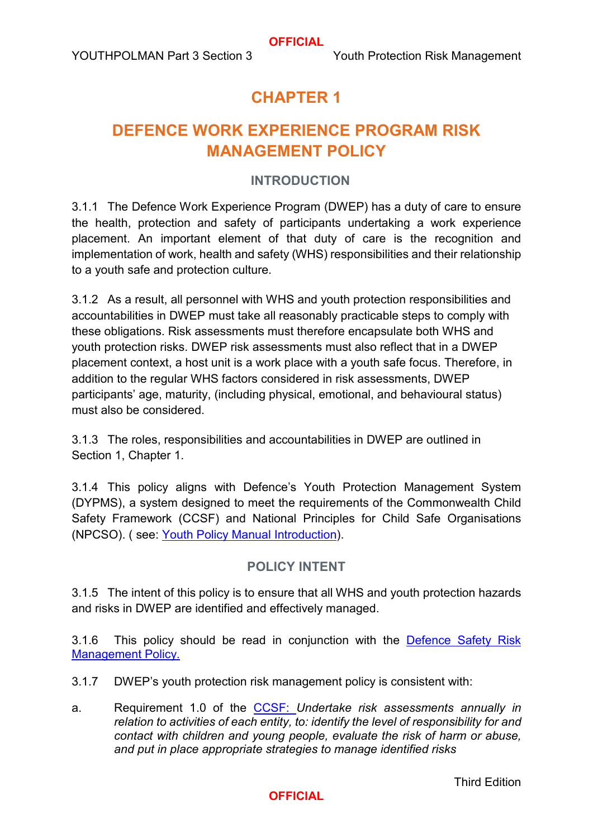# **CHAPTER 1**

# **DEFENCE WORK EXPERIENCE PROGRAM RISK MANAGEMENT POLICY**

# **INTRODUCTION**

3.1.1 The Defence Work Experience Program (DWEP) has a duty of care to ensure the health, protection and safety of participants undertaking a work experience placement. An important element of that duty of care is the recognition and implementation of work, health and safety (WHS) responsibilities and their relationship to a youth safe and protection culture.

3.1.2 As a result, all personnel with WHS and youth protection responsibilities and accountabilities in DWEP must take all reasonably practicable steps to comply with these obligations. Risk assessments must therefore encapsulate both WHS and youth protection risks. DWEP risk assessments must also reflect that in a DWEP placement context, a host unit is a work place with a youth safe focus. Therefore, in addition to the regular WHS factors considered in risk assessments, DWEP participants' age, maturity, (including physical, emotional, and behavioural status) must also be considered.

3.1.3 The roles, responsibilities and accountabilities in DWEP are outlined in Section 1, Chapter 1.

3.1.4 This policy aligns with Defence's Youth Protection Management System (DYPMS), a system designed to meet the requirements of the Commonwealth Child Safety Framework (CCSF) and National Principles for Child Safe Organisations (NPCSO). ( [see: Youth Policy Manual](https://defenceyouth.gov.au/media/1577/pages-from-jssd_out_2020_366-200706-publication-jssd-publication-youthpolman-introduction-and-part-1-unclas-4.pdf) Introduction).

# **POLICY INTENT**

3.1.5 The intent of this policy is to ensure that all WHS and youth protection hazards and risks in DWEP are identified and effectively managed.

3.1.6 This policy should be read in conjunction with the [Defence Safety Risk](http://drnet.defence.gov.au/People/WHS/SafetyMan/risk/Pages/WHS-Risk-Management-Policy.aspx)  [Management Policy.](http://drnet.defence.gov.au/People/WHS/SafetyMan/risk/Pages/WHS-Risk-Management-Policy.aspx)

3.1.7 DWEP's youth protection risk management policy is consistent with:

a. Requirement 1.0 of the [CCSF:](https://www.google.com/url?client=internal-element-cse&cx=014892463689150603152:ds_st7lbcyq&q=https://pmc.gov.au/sites/default/files/files/ccsf-what-might-implementation-look-like.pdf&sa=U&ved=2ahUKEwjNnaqa29D0AhUdRWwGHaB6CaoQFnoECAgQAg&usg=AOvVaw1jHkmpGxwDi1pc5BvNG9cp) *Undertake risk assessments annually in relation to activities of each entity, to: identify the level of responsibility for and contact with children and young people, evaluate the risk of harm or abuse, and put in place appropriate strategies to manage identified risks*

Third Edition

# **OFFICIAL**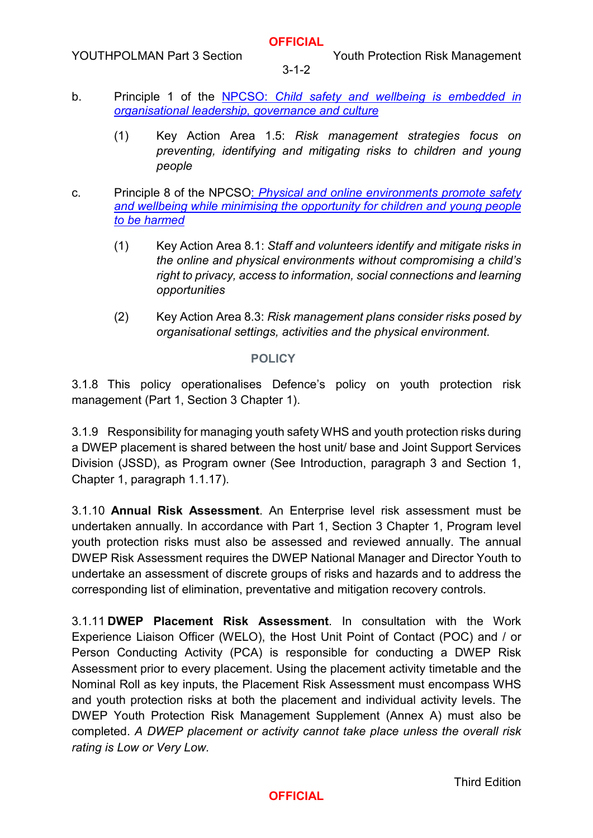### **OFFICIAL**

3-1-2

- b. Principle 1 of the [NPCSO:](https://childsafe.humanrights.gov.au/sites/default/files/2019-02/National_Principles_for_Child_Safe_Organisations2019.pdf) *Child safety and wellbeing is embedded in organisational leadership, governance and culture*
	- (1) Key Action Area 1.5: *Risk management strategies focus on preventing, identifying and mitigating risks to children and young people*
- c. Principle 8 of the NPCSO: *Physical and online environments promote safety and wellbeing while minimising the opportunity for children and young people to be harmed*
	- (1) Key Action Area 8.1: *Staff and volunteers identify and mitigate risks in the online and physical environments without compromising a child's right to privacy, access to information, social connections and learning opportunities*
	- (2) Key Action Area 8.3: *Risk management plans consider risks posed by organisational settings, activities and the physical environment.*

### **POLICY**

3.1.8 This policy operationalises Defence's policy on youth protection risk management (Part 1, [Section 3 Chapter 1\).](https://www.defenceyouth.gov.au/media/1551/5-sect3ch1-defence-youth-protection-risk-management-bn16161971.pdf) 

3.1.9 Responsibility for managing youth safety WHS and youth protection risks during a DWEP placement is shared between the host unit/ base and Joint Support Services Division (JSSD), as Program owner (See Introduction, paragraph 3 and Section 1, Chapter 1, paragraph 1.1.17).

3.1.10 **Annual Risk Assessment**. An Enterprise level risk assessment must be undertaken annually. In accordance with Part 1, [Section 3 Chapter 1,](https://defenceyouth.gov.au/media/1551/5-sect3ch1-defence-youth-protection-risk-management-bn16161971.pdf) Program level youth protection risks must also be assessed and reviewed annually. The annual DWEP Risk Assessment requires the DWEP National Manager and Director Youth to undertake an assessment of discrete groups of risks and hazards and to address the corresponding list of elimination, preventative and mitigation recovery controls.

3.1.11 **DWEP Placement Risk Assessment**. In consultation with the Work Experience Liaison Officer (WELO), the Host Unit Point of Contact (POC) and / or Person Conducting Activity (PCA) is responsible for conducting a DWEP Risk Assessment prior to every placement. Using the placement activity timetable and the Nominal Roll as key inputs, the Placement Risk Assessment must encompass WHS and youth protection risks at both the placement and individual activity levels. The DWEP Youth Protection Risk Management Supplement (Annex A) must also be completed. *A DWEP placement or activity cannot take place unless the overall risk rating is Low or Very Low.*

Third Edition

# **OFFICIAL**